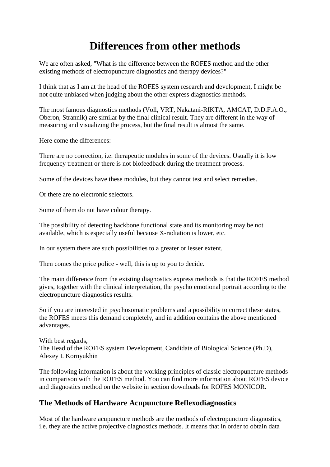# **Differences from other methods**

We are often asked, "What is the difference between the ROFES method and the other existing methods of electropuncture diagnostics and therapy devices?"

I think that as I am at the head of the ROFES system research and development, I might be not quite unbiased when judging about the other express diagnostics methods.

The most famous diagnostics methods (Voll, VRT, Nakatani-RIKTA, AMCAT, D.D.F.A.O., Oberon, Strannik) are similar by the final clinical result. They are different in the way of measuring and visualizing the process, but the final result is almost the same.

Here come the differences:

There are no correction, i.e. therapeutic modules in some of the devices. Usually it is low frequency treatment or there is not biofeedback during the treatment process.

Some of the devices have these modules, but they cannot test and select remedies.

Or there are no electronic selectors.

Some of them do not have colour therapy.

The possibility of detecting backbone functional state and its monitoring may be not available, which is especially useful because X-radiation is lower, etc.

In our system there are such possibilities to a greater or lesser extent.

Then comes the price police - well, this is up to you to decide.

The main difference from the existing diagnostics express methods is that the ROFES method gives, together with the clinical interpretation, the psycho emotional portrait according to the electropuncture diagnostics results.

So if you are interested in psychosomatic problems and a possibility to correct these states, the ROFES meets this demand completely, and in addition contains the above mentioned advantages.

With best regards, The Head of the ROFES system Development, Candidate of Biological Science (Ph.D), Alexey I. Kornyukhin

The following information is about the working principles of classic electropuncture methods in comparison with the ROFES method. You can find more information about ROFES device and diagnostics method on the website in section downloads for ROFES MONICOR.

## **The Methods of Hardware Acupuncture Reflexodiagnostics**

Most of the hardware acupuncture methods are the methods of electropuncture diagnostics, i.e. they are the active projective diagnostics methods. It means that in order to obtain data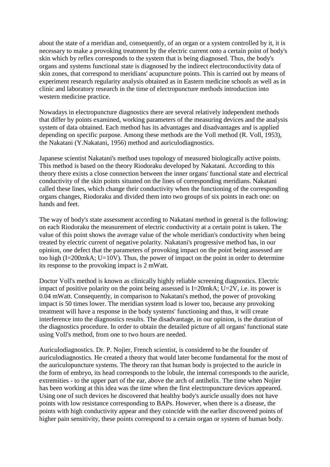about the state of a meridian and, consequently, of an organ or a system controlled by it, it is necessary to make a provoking treatment by the electric current onto a certain point of body's skin which by reflex corresponds to the system that is being diagnosed. Thus, the body's organs and systems functional state is diagnosed by the indirect electroconductivity data of skin zones, that correspond to meridians' acupuncture points. This is carried out by means of experiment research regularity analysis obtained as in Eastern medicine schools as well as in clinic and laboratory research in the time of electropuncture methods introduction into western medicine practice.

Nowadays in electropuncture diagnostics there are several relatively independent methods that differ by points examined, working parameters of the measuring devices and the analysis system of data obtained. Each method has its advantages and disadvantages and is applied depending on specific purpose. Among these methods are the Voll method (R. Voll, 1953), the Nakatani (Y.Nakatani, 1956) method and auriculodiagnostics.

Japanese scientist Nakatani's method uses topology of measured biologically active points. This method is based on the theory Riodoraku developed by Nakatani. According to this theory there exists a close connection between the inner organs' functional state and electrical conductivity of the skin points situated on the lines of corresponding meridians. Nakatani called these lines, which change their conductivity when the functioning of the corresponding organs changes, Riodoraku and divided them into two groups of six points in each one: on hands and feet.

The way of body's state assessment according to Nakatani method in general is the following: on each Riodoraku the measurement of electric conductivity at a certain point is taken. The value of this point shows the average value of the whole meridian's conductivity when being treated by electric current of negative polarity. Nakatani's progressive method has, in our opinion, one defect that the parameters of provoking impact on the point being assessed are too high (I=200mkA; U=10V). Thus, the power of impact on the point in order to determine its response to the provoking impact is 2 mWatt.

Doctor Voll's method is known as clinically highly reliable screening diagnostics. Electric impact of positive polarity on the point being assessed is  $I=20$ mkA;  $U=2V$ , i.e. its power is 0.04 mWatt. Consequently, in comparison to Nakatani's method, the power of provoking impact is 50 times lower. The meridian system load is lower too, because any provoking treatment will have a response in the body systems' functioning and thus, it will create interference into the diagnostics results. The disadvantage, in our opinion, is the duration of the diagnostics procedure. In order to obtain the detailed picture of all organs' functional state using Voll's method, from one to two hours are needed.

Auriculodiagnostics. Dr. P. Nojier, French scientist, is considered to be the founder of auriculodiagnostics. He created a theory that would later become fundamental for the most of the auriculopuncture systems. The theory ran that human body is projected to the auricle in the form of embryo, its head corresponds to the lobule, the internal corresponds to the auricle, extremities - to the upper part of the ear, above the arch of antihelix. The time when Nojier has been working at this idea was the time when the first electropuncture devices appeared. Using one of such devices he discovered that healthy body's auricle usually does not have points with low resistance corresponding to BAPs. However, when there is a disease, the points with high conductivity appear and they coincide with the earlier discovered points of higher pain sensitivity, these points correspond to a certain organ or system of human body.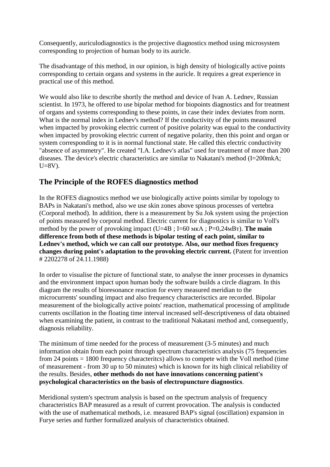Consequently, auriculodiagnostics is the projective diagnostics method using microsystem corresponding to projection of human body to its auricle.

The disadvantage of this method, in our opinion, is high density of biologically active points corresponding to certain organs and systems in the auricle. It requires a great experience in practical use of this method.

We would also like to describe shortly the method and device of Ivan A. Lednev, Russian scientist. In 1973, he offered to use bipolar method for biopoints diagnostics and for treatment of organs and systems corresponding to these points, in case their index deviates from norm. What is the normal index in Lednev's method? If the conductivity of the points measured when impacted by provoking electric current of positive polarity was equal to the conductivity when impacted by provoking electric current of negative polarity, then this point and organ or system corresponding to it is in normal functional state. He called this electric conductivity "absence of asymmetry". He created "I.A. Lednev's atlas" used for treatment of more than 200 diseases. The device's electric characteristics are similar to Nakatani's method (I=200mkA;  $U=8V$ ).

# **The Principle of the ROFES diagnostics method**

In the ROFES diagnostics method we use biologically active points similar by topology to BAPs in Nakatani's method, also we use skin zones above spinous processes of vertebra (Corporal method). In addition, there is a measurement by Su Jok system using the projection of points measured by corporal method. Electric current for diagnostics is similar to Voll's method by the power of provoking impact (U=4В ; I=60 мкА ; Р=0,24мВт). **The main difference from both of these methods is bipolar testing of each point, similar to Lednev's method, which we can call our prototype. Also, our method fixes frequency changes during point's adaptation to the provoking electric current.** (Patent for invention # 2202278 of 24.11.1988)

In order to visualise the picture of functional state, to analyse the inner processes in dynamics and the environment impact upon human body the software builds a circle diagram. In this diagram the results of bioresonance reaction for every measured meridian to the microcurrents' sounding impact and also frequency characterisctics are recorded. Bipolar measurement of the biologically active points' reaction, mathematical processing of amplitude currents oscillation in the floating time interval increased self-descriptiveness of data obtained when examining the patient, in contrast to the traditional Nakatani method and, consequently, diagnosis reliability.

The minimum of time needed for the process of measurement (3-5 minutes) and much information obtain from each point through spectrum characteristics analysis (75 frequencies from 24 points = 1800 frequency characteritcs) allows to compete with the Voll method (time of measurement - from 30 up to 50 minutes) which is known for its high clinical reliability of the results. Besides, **other methods do not have innovations concerning patient's psychological characteristics on the basis of electropuncture diagnostics**.

Meridional system's spectrum analysis is based on the spectrum analysis of frequency characteristics BAP measured as a result of current provocation. The analysis is conducted with the use of mathematical methods, i.e. measured BAP's signal (oscillation) expansion in Furye series and further formalized analysis of characteristics obtained.